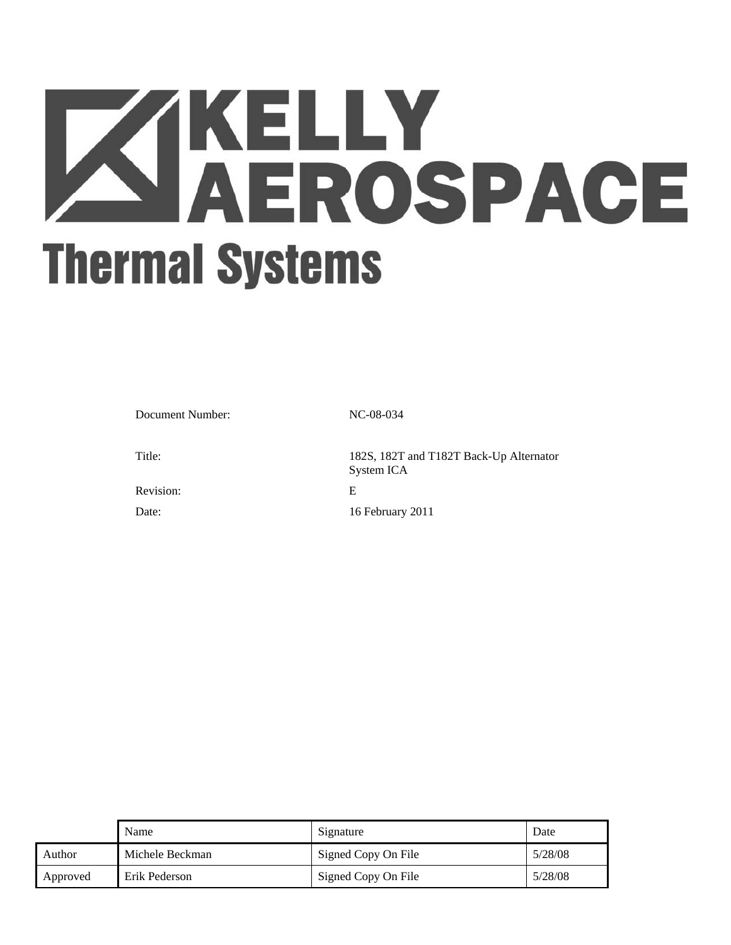# **ZIKELLY<br>AEROSPACE Thermal Systems**

Document Number: NC-08-034

Title: 182S, 182T and T182T Back-Up Alternator System ICA Revision: E Date: 16 February 2011

|               | Name            | Signature           | Date    |
|---------------|-----------------|---------------------|---------|
| <b>Author</b> | Michele Beckman | Signed Copy On File | 5/28/08 |
| Approved      | Erik Pederson   | Signed Copy On File | 5/28/08 |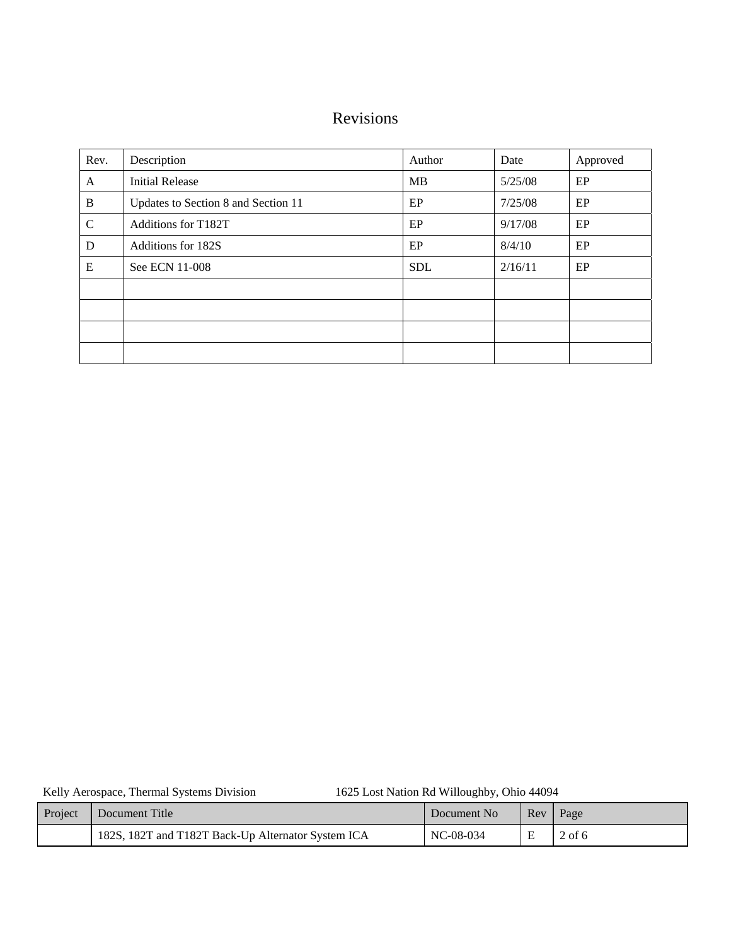# Revisions

| Rev.          | Description                         | Author     | Date    | Approved |  |
|---------------|-------------------------------------|------------|---------|----------|--|
| A             | <b>Initial Release</b>              | <b>MB</b>  | 5/25/08 | EP       |  |
| B             | Updates to Section 8 and Section 11 | EP         | 7/25/08 | EP       |  |
| $\mathcal{C}$ | <b>Additions for T182T</b>          | EP         | 9/17/08 | EP       |  |
| D             | Additions for 182S                  | EP         | 8/4/10  | EP       |  |
| ${\bf E}$     | See ECN 11-008                      | <b>SDL</b> | 2/16/11 | EP       |  |
|               |                                     |            |         |          |  |
|               |                                     |            |         |          |  |
|               |                                     |            |         |          |  |
|               |                                     |            |         |          |  |

Kelly Aerospace, Thermal Systems Division 1625 Lost Nation Rd Willoughby, Ohio 44094

| Project | Document Title                                     | Document No | $\mathsf{Rev}$ | Page   |
|---------|----------------------------------------------------|-------------|----------------|--------|
|         | 182S, 182T and T182T Back-Up Alternator System ICA | NC-08-034   |                | 2 of 6 |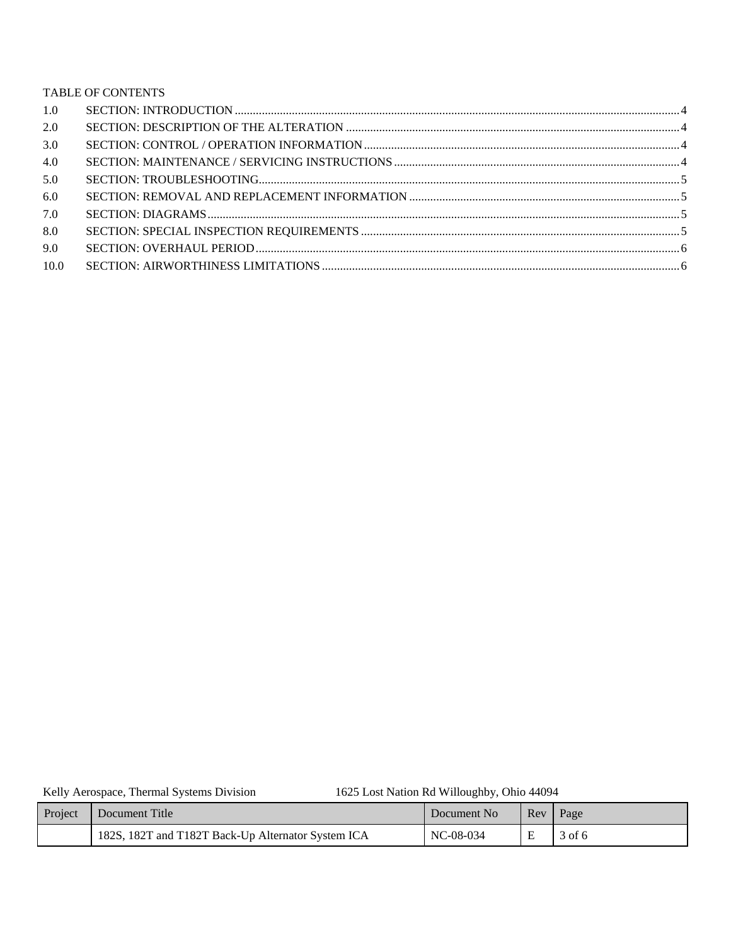# TABLE OF CONTENTS

| 1.0  |  |
|------|--|
| 2.0  |  |
| 3.0  |  |
| 4.0  |  |
| 5.0  |  |
| 6.0  |  |
| 7.0  |  |
| 8.0  |  |
| 9.0  |  |
| 10.0 |  |
|      |  |

Kelly Aerospace, Thermal Systems Division

1625 Lost Nation Rd Willoughby, Ohio 44094

| Project | Document Title                                     | Document No | Rev Page |        |
|---------|----------------------------------------------------|-------------|----------|--------|
|         | 182S, 182T and T182T Back-Up Alternator System ICA | NC-08-034   |          | 3 of 6 |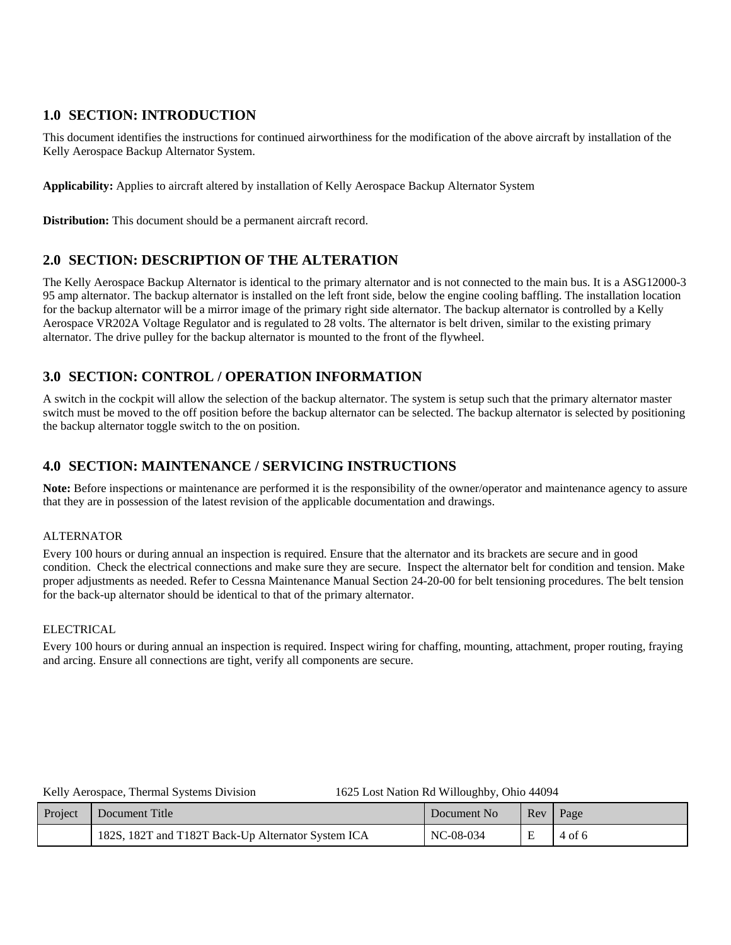# **1.0 SECTION: INTRODUCTION**

This document identifies the instructions for continued airworthiness for the modification of the above aircraft by installation of the Kelly Aerospace Backup Alternator System.

**Applicability:** Applies to aircraft altered by installation of Kelly Aerospace Backup Alternator System

**Distribution:** This document should be a permanent aircraft record.

# **2.0 SECTION: DESCRIPTION OF THE ALTERATION**

The Kelly Aerospace Backup Alternator is identical to the primary alternator and is not connected to the main bus. It is a ASG12000-3 95 amp alternator. The backup alternator is installed on the left front side, below the engine cooling baffling. The installation location for the backup alternator will be a mirror image of the primary right side alternator. The backup alternator is controlled by a Kelly Aerospace VR202A Voltage Regulator and is regulated to 28 volts. The alternator is belt driven, similar to the existing primary alternator. The drive pulley for the backup alternator is mounted to the front of the flywheel.

# **3.0 SECTION: CONTROL / OPERATION INFORMATION**

A switch in the cockpit will allow the selection of the backup alternator. The system is setup such that the primary alternator master switch must be moved to the off position before the backup alternator can be selected. The backup alternator is selected by positioning the backup alternator toggle switch to the on position.

# **4.0 SECTION: MAINTENANCE / SERVICING INSTRUCTIONS**

**Note:** Before inspections or maintenance are performed it is the responsibility of the owner/operator and maintenance agency to assure that they are in possession of the latest revision of the applicable documentation and drawings.

### ALTERNATOR

Every 100 hours or during annual an inspection is required. Ensure that the alternator and its brackets are secure and in good condition. Check the electrical connections and make sure they are secure. Inspect the alternator belt for condition and tension. Make proper adjustments as needed. Refer to Cessna Maintenance Manual Section 24-20-00 for belt tensioning procedures. The belt tension for the back-up alternator should be identical to that of the primary alternator.

### ELECTRICAL

Every 100 hours or during annual an inspection is required. Inspect wiring for chaffing, mounting, attachment, proper routing, fraying and arcing. Ensure all connections are tight, verify all components are secure.

### 1625 Lost Nation Rd Willoughby, Ohio 44094

| Project | <b>I</b> Document Title                            | Document No | Rev | Page   |
|---------|----------------------------------------------------|-------------|-----|--------|
|         | 182S, 182T and T182T Back-Up Alternator System ICA | NC-08-034   |     | 4 of 6 |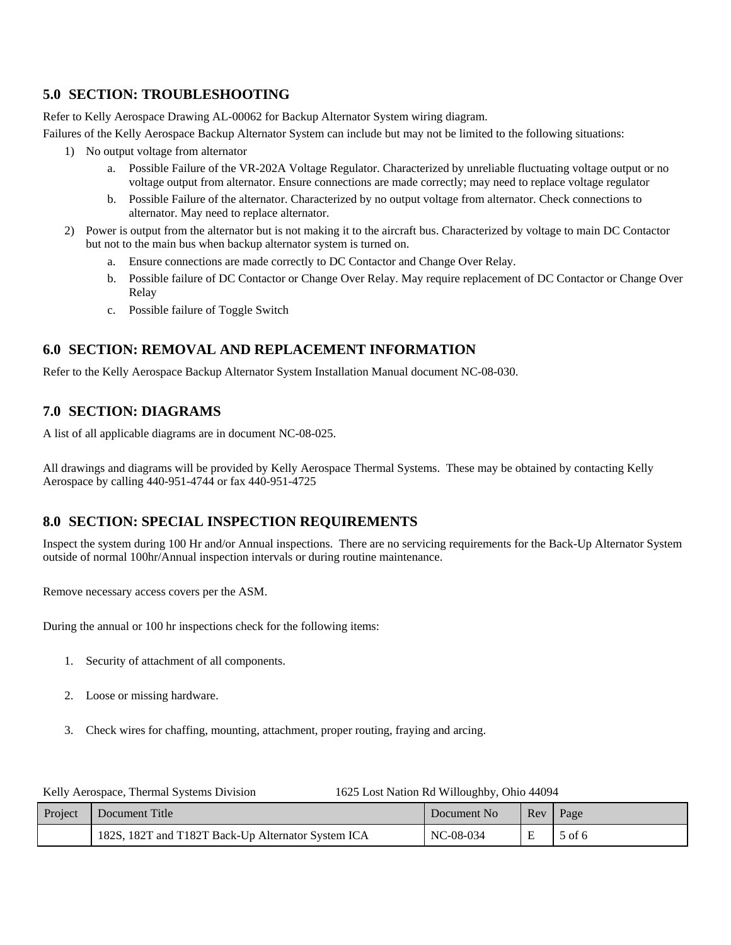# **5.0 SECTION: TROUBLESHOOTING**

Refer to Kelly Aerospace Drawing AL-00062 for Backup Alternator System wiring diagram.

Failures of the Kelly Aerospace Backup Alternator System can include but may not be limited to the following situations:

- 1) No output voltage from alternator
	- a. Possible Failure of the VR-202A Voltage Regulator. Characterized by unreliable fluctuating voltage output or no voltage output from alternator. Ensure connections are made correctly; may need to replace voltage regulator
	- b. Possible Failure of the alternator. Characterized by no output voltage from alternator. Check connections to alternator. May need to replace alternator.
- 2) Power is output from the alternator but is not making it to the aircraft bus. Characterized by voltage to main DC Contactor but not to the main bus when backup alternator system is turned on.
	- a. Ensure connections are made correctly to DC Contactor and Change Over Relay.
	- b. Possible failure of DC Contactor or Change Over Relay. May require replacement of DC Contactor or Change Over Relay
	- c. Possible failure of Toggle Switch

# **6.0 SECTION: REMOVAL AND REPLACEMENT INFORMATION**

Refer to the Kelly Aerospace Backup Alternator System Installation Manual document NC-08-030.

# **7.0 SECTION: DIAGRAMS**

A list of all applicable diagrams are in document NC-08-025.

All drawings and diagrams will be provided by Kelly Aerospace Thermal Systems. These may be obtained by contacting Kelly Aerospace by calling 440-951-4744 or fax 440-951-4725

# **8.0 SECTION: SPECIAL INSPECTION REQUIREMENTS**

Inspect the system during 100 Hr and/or Annual inspections. There are no servicing requirements for the Back-Up Alternator System outside of normal 100hr/Annual inspection intervals or during routine maintenance.

Remove necessary access covers per the ASM.

During the annual or 100 hr inspections check for the following items:

- 1. Security of attachment of all components.
- 2. Loose or missing hardware.
- 3. Check wires for chaffing, mounting, attachment, proper routing, fraying and arcing.

| Kelly Aerospace, Thermal Systems Division | 1625 Lost Nation Rd Willoughby, Ohio 44094 |
|-------------------------------------------|--------------------------------------------|
|                                           |                                            |

| Project | Document Title                                     | Document No |   | Rev Page |
|---------|----------------------------------------------------|-------------|---|----------|
|         | 182S, 182T and T182T Back-Up Alternator System ICA | NC-08-034   | Е | 5 of 6   |